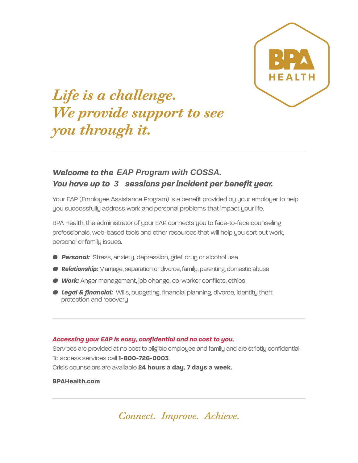

# *Life is a challenge. We provide support to see you through it.*

## *Welcome to the EAP Program with COSSA. You have up to 3 sessions per incident per benefit year.*

Your EAP (Employee Assistance Program) is a benefit provided by your employer to help you successfully address work and personal problems that impact your life.

BPA Health, the administrator of your EAP, connects you to face-to-face counseling professionals, web-based tools and other resources that will help you sort out work, personal or family issues.

- *Personal:* Stress, anxiety, depression, grief, drug or alcohol use
- *Relationship:* Marriage, separation or divorce, family, parenting, domestic abuse
- *Work:* Anger management, job change, co-worker conflicts, ethics
- *Legal & financial:* Wills, budgeting, financial planning, divorce, identity theft protection and recovery

### *Accessing your EAP is easy, confidential and no cost to you.*

Services are provided at no cost to eligible employee and family and are strictly confidential. To access services call **1-800-726-0003**. Crisis counselors are available **24 hours a day, 7 days a week.**

### **BPAHealth.com**

Connect. Improve. Achieve.